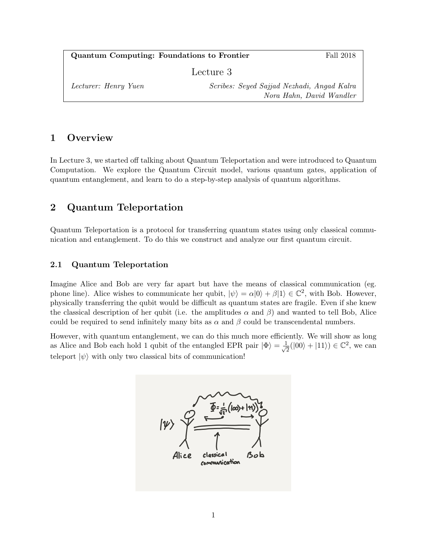| <b>Quantum Computing: Foundations to Frontier</b> |                                                                        | Fall 2018 |
|---------------------------------------------------|------------------------------------------------------------------------|-----------|
| Lecture 3                                         |                                                                        |           |
| Lecturer: Henry Yuen                              | Scribes: Seyed Sajjad Nezhadi, Angad Kalra<br>Nora Hahn, David Wandler |           |

# 1 Overview

In Lecture 3, we started off talking about Quantum Teleportation and were introduced to Quantum Computation. We explore the Quantum Circuit model, various quantum gates, application of quantum entanglement, and learn to do a step-by-step analysis of quantum algorithms.

# 2 Quantum Teleportation

Quantum Teleportation is a protocol for transferring quantum states using only classical communication and entanglement. To do this we construct and analyze our first quantum circuit.

## 2.1 Quantum Teleportation

Imagine Alice and Bob are very far apart but have the means of classical communication (eg. phone line). Alice wishes to communicate her qubit,  $|\psi\rangle = \alpha|0\rangle + \beta|1\rangle \in \mathbb{C}^2$ , with Bob. However, physically transferring the qubit would be difficult as quantum states are fragile. Even if she knew the classical description of her qubit (i.e. the amplitudes  $\alpha$  and  $\beta$ ) and wanted to tell Bob, Alice could be required to send infinitely many bits as  $\alpha$  and  $\beta$  could be transcendental numbers.

However, with quantum entanglement, we can do this much more efficiently. We will show as long as Alice and Bob each hold 1 qubit of the entangled EPR pair  $|\Phi\rangle = \frac{1}{\sqrt{6}}$  $\frac{1}{2}(|00\rangle + |11\rangle) \in \mathbb{C}^2$ , we can teleport  $|\psi\rangle$  with only two classical bits of communication!

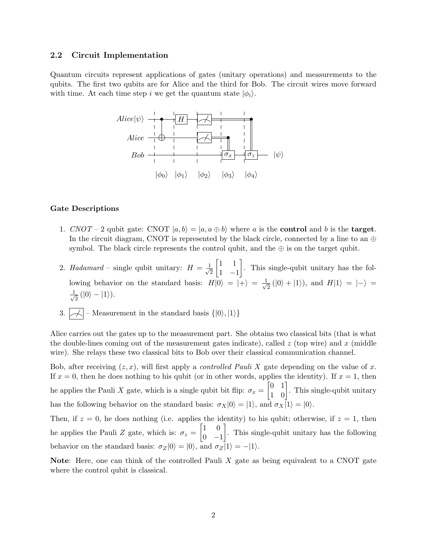### 2.2 Circuit Implementation

Quantum circuits represent applications of gates (unitary operations) and measurements to the qubits. The first two qubits are for Alice and the third for Bob. The circuit wires move forward with time. At each time step i we get the quantum state  $|\phi_i\rangle$ .



#### Gate Descriptions

- 1. CNOT 2 qubit gate: CNOT  $|a, b\rangle = |a, a \oplus b\rangle$  where a is the **control** and b is the **target**. In the circuit diagram, CNOT is represented by the black circle, connected by a line to an  $\oplus$ symbol. The black circle represents the control qubit, and the  $\oplus$  is on the target qubit.
- 2. Hadamard single qubit unitary:  $H = \frac{1}{\sqrt{2}}$ 2  $\begin{bmatrix} 1 & 1 \end{bmatrix}$ 1 −1 . This single-qubit unitary has the following behavior on the standard basis:  $H|0\rangle = |+\rangle = \frac{1}{\sqrt{2}}$  $\frac{1}{2}$  (|0\in + |1\in \), and  $H|1\rangle = |-1\rangle =$  $\frac{1}{\sqrt{2}}$  $\frac{1}{2}$  (|0\notes - |1\notes 1\notes 0.5 \cdot 0.5 \cdot 0.5 \cdot 0.5 \cdot 0.5 \cdot 0.5 \cdot 0.5 \cdot 0.5 \cdot 0.5 \cdot 0.5 \cdot 0.5 \cdot 0.5 \cdot 0.5 \cdot 0.5 \cdot 0.5 \cdot 0.5 \cdot 0.5 \cdot 0.5 \cdot 0.
- 3.  $|\mathcal{A}|$  Measurement in the standard basis  $\{|0\rangle, |1\rangle\}$

Alice carries out the gates up to the measurement part. She obtains two classical bits (that is what the double-lines coming out of the measurement gates indicate), called  $z$  (top wire) and x (middle wire). She relays these two classical bits to Bob over their classical communication channel.

Bob, after receiving  $(z, x)$ , will first apply a *controlled Pauli X* gate depending on the value of x. If  $x = 0$ , then he does nothing to his qubit (or in other words, applies the identity). If  $x = 1$ , then he applies the Pauli X gate, which is a single qubit bit flip:  $\sigma_x = \begin{bmatrix} 0 & 1 \\ 1 & 0 \end{bmatrix}$ . This single-qubit unitary has the following behavior on the standard basis:  $\sigma_X|0\rangle = |1\rangle$ , and  $\sigma_X|1\rangle = |0\rangle$ .

Then, if  $z = 0$ , he does nothing (i.e. applies the identity) to his qubit; otherwise, if  $z = 1$ , then he applies the Pauli Z gate, which is:  $\sigma_z = \begin{bmatrix} 1 & 0 \\ 0 & 1 \end{bmatrix}$  $0 -1$  . This single-qubit unitary has the following behavior on the standard basis:  $\sigma_Z|0\rangle = |0\rangle$ , and  $\sigma_Z|1\rangle = -|1\rangle$ .

Note: Here, one can think of the controlled Pauli X gate as being equivalent to a CNOT gate where the control qubit is classical.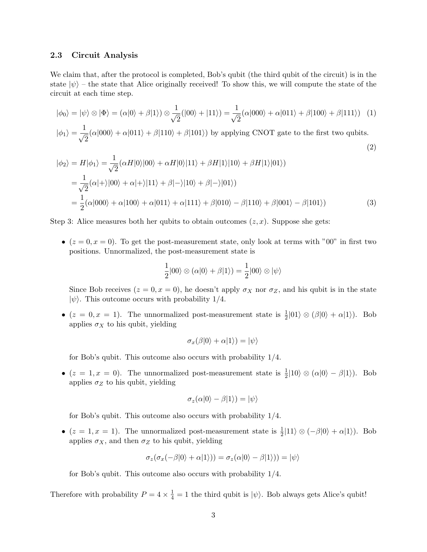### 2.3 Circuit Analysis

We claim that, after the protocol is completed, Bob's qubit (the third qubit of the circuit) is in the state  $|\psi\rangle$  – the state that Alice originally received! To show this, we will compute the state of the circuit at each time step.

$$
|\phi_0\rangle = |\psi\rangle \otimes |\Phi\rangle = (\alpha|0\rangle + \beta|1\rangle) \otimes \frac{1}{\sqrt{2}}(|00\rangle + |11\rangle) = \frac{1}{\sqrt{2}}(\alpha|000\rangle + \alpha|011\rangle + \beta|100\rangle + \beta|111\rangle)
$$
(1)

$$
|\phi_1\rangle = \frac{1}{\sqrt{2}}(\alpha|000\rangle + \alpha|011\rangle + \beta|110\rangle + \beta|101\rangle)
$$
 by applying CNOT gate to the first two qubits. (2)

$$
|\phi_2\rangle = H|\phi_1\rangle = \frac{1}{\sqrt{2}} (\alpha H|0\rangle|00\rangle + \alpha H|0\rangle|11\rangle + \beta H|1\rangle|10\rangle + \beta H|1\rangle|01\rangle)
$$
  
= 
$$
\frac{1}{\sqrt{2}} (\alpha|+\rangle|00\rangle + \alpha|+\rangle|11\rangle + \beta|-\rangle|10\rangle + \beta|-\rangle|01\rangle)
$$
  
= 
$$
\frac{1}{2} (\alpha|000\rangle + \alpha|100\rangle + \alpha|011\rangle + \alpha|111\rangle + \beta|010\rangle - \beta|110\rangle + \beta|001\rangle - \beta|101\rangle)
$$
(3)

Step 3: Alice measures both her qubits to obtain outcomes  $(z, x)$ . Suppose she gets:

•  $(z = 0, x = 0)$ . To get the post-measurement state, only look at terms with "00" in first two positions. Unnormalized, the post-measurement state is

$$
\frac{1}{2}|00\rangle \otimes (\alpha|0\rangle + \beta|1\rangle) = \frac{1}{2}|00\rangle \otimes |\psi\rangle
$$

Since Bob receives  $(z = 0, x = 0)$ , he doesn't apply  $\sigma_X$  nor  $\sigma_Z$ , and his qubit is in the state  $|\psi\rangle$ . This outcome occurs with probability 1/4.

•  $(z = 0, x = 1)$ . The unnormalized post-measurement state is  $\frac{1}{2} |01\rangle \otimes |\beta|0\rangle + \alpha |1\rangle$ . Bob applies  $\sigma_X$  to his qubit, yielding

$$
\sigma_x(\beta|0\rangle + \alpha|1\rangle) = |\psi\rangle
$$

for Bob's qubit. This outcome also occurs with probability 1/4.

•  $(z = 1, x = 0)$ . The unnormalized post-measurement state is  $\frac{1}{2} |10\rangle \otimes (\alpha |0\rangle - \beta |1\rangle)$ . Bob applies  $\sigma_Z$  to his qubit, yielding

$$
\sigma_z(\alpha|0\rangle - \beta|1\rangle) = |\psi\rangle
$$

for Bob's qubit. This outcome also occurs with probability 1/4.

•  $(z = 1, x = 1)$ . The unnormalized post-measurement state is  $\frac{1}{2} |11\rangle \otimes (-\beta |0\rangle + \alpha |1\rangle)$ . Bob applies  $\sigma_X$ , and then  $\sigma_Z$  to his qubit, yielding

$$
\sigma_z(\sigma_x(-\beta|0\rangle + \alpha|1\rangle)) = \sigma_z(\alpha|0\rangle - \beta|1\rangle)) = |\psi\rangle
$$

for Bob's qubit. This outcome also occurs with probability 1/4.

Therefore with probability  $P = 4 \times \frac{1}{4} = 1$  the third qubit is  $|\psi\rangle$ . Bob always gets Alice's qubit!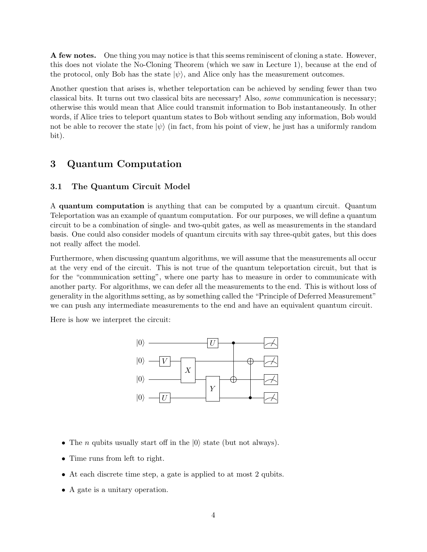A few notes. One thing you may notice is that this seems reminiscent of cloning a state. However, this does not violate the No-Cloning Theorem (which we saw in Lecture 1), because at the end of the protocol, only Bob has the state  $|\psi\rangle$ , and Alice only has the measurement outcomes.

Another question that arises is, whether teleportation can be achieved by sending fewer than two classical bits. It turns out two classical bits are necessary! Also, some communication is necessary; otherwise this would mean that Alice could transmit information to Bob instantaneously. In other words, if Alice tries to teleport quantum states to Bob without sending any information, Bob would not be able to recover the state  $|\psi\rangle$  (in fact, from his point of view, he just has a uniformly random bit).

## 3 Quantum Computation

### 3.1 The Quantum Circuit Model

A quantum computation is anything that can be computed by a quantum circuit. Quantum Teleportation was an example of quantum computation. For our purposes, we will define a quantum circuit to be a combination of single- and two-qubit gates, as well as measurements in the standard basis. One could also consider models of quantum circuits with say three-qubit gates, but this does not really affect the model.

Furthermore, when discussing quantum algorithms, we will assume that the measurements all occur at the very end of the circuit. This is not true of the quantum teleportation circuit, but that is for the "communication setting", where one party has to measure in order to communicate with another party. For algorithms, we can defer all the measurements to the end. This is without loss of generality in the algorithms setting, as by something called the "Principle of Deferred Measurement" we can push any intermediate measurements to the end and have an equivalent quantum circuit.

Here is how we interpret the circuit:



- The *n* qubits usually start off in the  $|0\rangle$  state (but not always).
- Time runs from left to right.
- At each discrete time step, a gate is applied to at most 2 qubits.
- A gate is a unitary operation.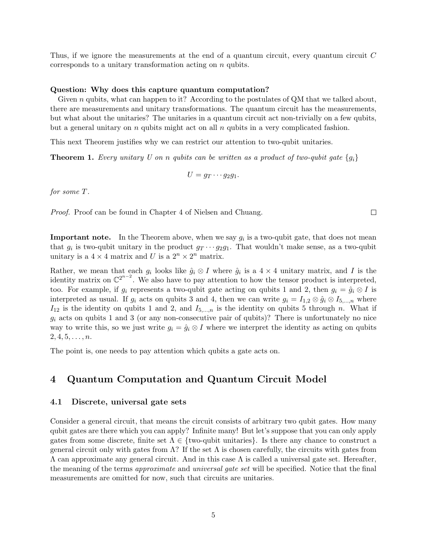Thus, if we ignore the measurements at the end of a quantum circuit, every quantum circuit C corresponds to a unitary transformation acting on n qubits.

#### Question: Why does this capture quantum computation?

Given  $n$  qubits, what can happen to it? According to the postulates of QM that we talked about, there are measurements and unitary transformations. The quantum circuit has the measurements, but what about the unitaries? The unitaries in a quantum circuit act non-trivially on a few qubits, but a general unitary on  $n$  qubits might act on all  $n$  qubits in a very complicated fashion.

This next Theorem justifies why we can restrict our attention to two-qubit unitaries.

**Theorem 1.** Every unitary U on n qubits can be written as a product of two-qubit gate  $\{g_i\}$ 

$$
U = g_T \cdots g_2 g_1.
$$

for some T.

Proof. Proof can be found in Chapter 4 of Nielsen and Chuang.

**Important note.** In the Theorem above, when we say  $g_i$  is a two-qubit gate, that does not mean that  $g_i$  is two-qubit unitary in the product  $g_T \cdots g_2 g_1$ . That wouldn't make sense, as a two-qubit unitary is a  $4 \times 4$  matrix and U is a  $2^n \times 2^n$  matrix.

Rather, we mean that each  $g_i$  looks like  $\hat{g}_i \otimes I$  where  $\hat{g}_i$  is a 4 × 4 unitary matrix, and I is the identity matrix on  $\mathbb{C}^{2^{n-2}}$ . We also have to pay attention to how the tensor product is interpreted, too. For example, if  $g_i$  represents a two-qubit gate acting on qubits 1 and 2, then  $g_i = \hat{g}_i \otimes I$  is interpreted as usual. If  $g_i$  acts on qubits 3 and 4, then we can write  $g_i = I_{1,2} \otimes \hat{g}_i \otimes I_{5,\dots,n}$  where  $I_{12}$  is the identity on qubits 1 and 2, and  $I_{5,\dots,n}$  is the identity on qubits 5 through n. What if  $g_i$  acts on qubits 1 and 3 (or any non-consecutive pair of qubits)? There is unfortunately no nice way to write this, so we just write  $g_i = \hat{g}_i \otimes I$  where we interpret the identity as acting on qubits  $2, 4, 5, \ldots, n$ .

The point is, one needs to pay attention which qubits a gate acts on.

## 4 Quantum Computation and Quantum Circuit Model

### 4.1 Discrete, universal gate sets

Consider a general circuit, that means the circuit consists of arbitrary two qubit gates. How many qubit gates are there which you can apply? Infinite many! But let's suppose that you can only apply gates from some discrete, finite set  $\Lambda \in \{\text{two-qubit unitaries}\}\.$  Is there any chance to construct a general circuit only with gates from  $\Lambda$ ? If the set  $\Lambda$  is chosen carefully, the circuits with gates from  $Λ$  can approximate any general circuit. And in this case  $Λ$  is called a universal gate set. Hereafter, the meaning of the terms approximate and universal gate set will be specified. Notice that the final measurements are omitted for now, such that circuits are unitaries.

 $\Box$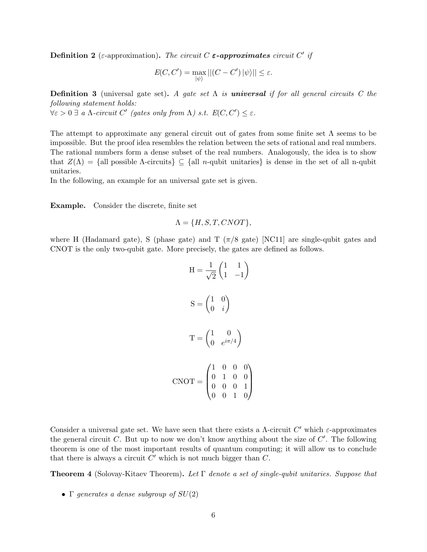**Definition 2** (ε-approximation). The circuit C  $\varepsilon$ -approximates circuit C' if

$$
E(C, C') = \max_{|\psi\rangle} ||(C - C') |\psi\rangle|| \le \varepsilon.
$$

**Definition 3** (universal gate set). A gate set  $\Lambda$  is **universal** if for all general circuits C the following statement holds:

 $\forall \varepsilon > 0 \ \exists \ a \ \Lambda\text{-}circuit\ C' \ (gates \ only \ from \ \Lambda) \ s.t. \ E(C, C') \leq \varepsilon.$ 

The attempt to approximate any general circuit out of gates from some finite set  $\Lambda$  seems to be impossible. But the proof idea resembles the relation between the sets of rational and real numbers. The rational numbers form a dense subset of the real numbers. Analogously, the idea is to show that  $Z(\Lambda) = \{$ all possible  $\Lambda$ -circuits $\} \subseteq \{$ all n-qubit unitaries $\}$  is dense in the set of all n-qubit unitaries.

In the following, an example for an universal gate set is given.

Example. Consider the discrete, finite set

$$
\Lambda = \{H, S, T, CNOT\},\
$$

where H (Hadamard gate), S (phase gate) and T ( $\pi/8$  gate) [NC11] are single-qubit gates and CNOT is the only two-qubit gate. More precisely, the gates are defined as follows.

$$
H = \frac{1}{\sqrt{2}} \begin{pmatrix} 1 & 1 \\ 1 & -1 \end{pmatrix}
$$

$$
S = \begin{pmatrix} 1 & 0 \\ 0 & i \end{pmatrix}
$$

$$
T = \begin{pmatrix} 1 & 0 \\ 0 & e^{i\pi/4} \end{pmatrix}
$$

$$
CNOT = \begin{pmatrix} 1 & 0 & 0 & 0 \\ 0 & 1 & 0 & 0 \\ 0 & 0 & 0 & 1 \\ 0 & 0 & 1 & 0 \end{pmatrix}
$$

Consider a universal gate set. We have seen that there exists a  $\Lambda$ -circuit  $C'$  which  $\varepsilon$ -approximates the general circuit  $C$ . But up to now we don't know anything about the size of  $C'$ . The following theorem is one of the most important results of quantum computing; it will allow us to conclude that there is always a circuit  $C'$  which is not much bigger than  $C$ .

**Theorem 4** (Solovay-Kitaev Theorem). Let  $\Gamma$  denote a set of single-qubit unitaries. Suppose that

• Γ generates a dense subgroup of  $SU(2)$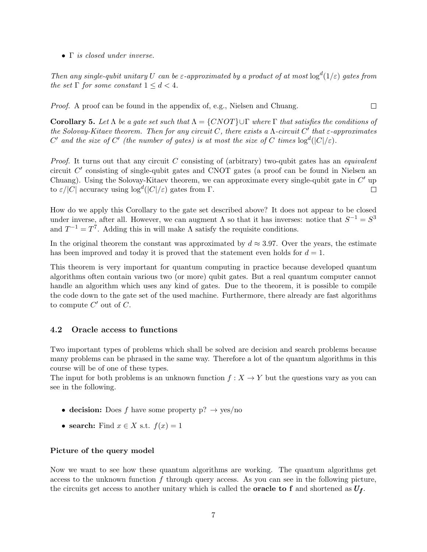• Γ is closed under inverse.

Then any single-qubit unitary U can be  $\varepsilon$ -approximated by a product of at most  $\log^d(1/\varepsilon)$  gates from the set  $\Gamma$  for some constant  $1 \leq d \leq 4$ .

Proof. A proof can be found in the appendix of, e.g., Nielsen and Chuang.  $\Box$ 

Corollary 5. Let  $\Lambda$  be a gate set such that  $\Lambda = \{CNOT\} \cup \Gamma$  where  $\Gamma$  that satisfies the conditions of the Solovay-Kitaev theorem. Then for any circuit C, there exists a  $\Lambda$ -circuit C' that  $\varepsilon$ -approximates C' and the size of C' (the number of gates) is at most the size of C times  $\log^d(|C|/\varepsilon)$ .

*Proof.* It turns out that any circuit  $C$  consisting of (arbitrary) two-qubit gates has an *equivalent* circuit  $C'$  consisting of single-qubit gates and CNOT gates (a proof can be found in Nielsen an Chuang). Using the Solovay-Kitaev theorem, we can approximate every single-qubit gate in  $C'$  up to  $\varepsilon/|C|$  accuracy using  $\log^d(|C|/\varepsilon)$  gates from  $\Gamma$ .  $\Box$ 

How do we apply this Corollary to the gate set described above? It does not appear to be closed under inverse, after all. However, we can augment  $\Lambda$  so that it has inverses: notice that  $S^{-1} = S^3$ and  $T^{-1} = T^7$ . Adding this in will make  $\Lambda$  satisfy the requisite conditions.

In the original theorem the constant was approximated by  $d \approx 3.97$ . Over the years, the estimate has been improved and today it is proved that the statement even holds for  $d = 1$ .

This theorem is very important for quantum computing in practice because developed quantum algorithms often contain various two (or more) qubit gates. But a real quantum computer cannot handle an algorithm which uses any kind of gates. Due to the theorem, it is possible to compile the code down to the gate set of the used machine. Furthermore, there already are fast algorithms to compute  $C'$  out of  $C$ .

### 4.2 Oracle access to functions

Two important types of problems which shall be solved are decision and search problems because many problems can be phrased in the same way. Therefore a lot of the quantum algorithms in this course will be of one of these types.

The input for both problems is an unknown function  $f: X \to Y$  but the questions vary as you can see in the following.

- decision: Does f have some property  $p? \rightarrow yes/no$
- search: Find  $x \in X$  s.t.  $f(x) = 1$

#### Picture of the query model

Now we want to see how these quantum algorithms are working. The quantum algorithms get access to the unknown function  $f$  through query access. As you can see in the following picture, the circuits get access to another unitary which is called the **oracle to f** and shortened as  $U_f$ .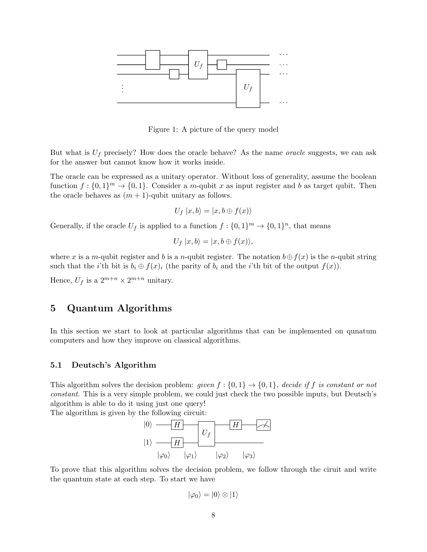

Figure 1: A picture of the query model

But what is  $U_f$  precisely? How does the oracle behave? As the name *oracle* suggests, we can ask for the answer but cannot know how it works inside.

The oracle can be expressed as a unitary operator. Without loss of generality, assume the boolean function  $f: \{0,1\}^m \to \{0,1\}$ . Consider a m-qubit x as input register and b as target qubit. Then the oracle behaves as  $(m + 1)$ -qubit unitary as follows.

$$
U_f |x, b\rangle = |x, b \oplus f(x)\rangle
$$

Generally, if the oracle  $U_f$  is applied to a function  $f: \{0,1\}^m \to \{0,1\}^n$ , that means

$$
U_f |x, b\rangle = |x, b \oplus f(x)\rangle,
$$

where x is a m-qubit register and b is a n-qubit register. The notation  $b \oplus f(x)$  is the n-qubit string such that the *i*'th bit is  $b_i \oplus f(x)_i$  (the parity of  $b_i$  and the *i*'th bit of the output  $f(x)$ ).

Hence,  $U_f$  is a  $2^{m+n} \times 2^{m+n}$  unitary.

# 5 Quantum Algorithms

In this section we start to look at particular algorithms that can be implemented on qunatum computers and how they improve on classical algorithms.

### 5.1 Deutsch's Algorithm

This algorithm solves the decision problem: given  $f: \{0,1\} \rightarrow \{0,1\}$ , decide if f is constant or not constant. This is a very simple problem, we could just check the two possible inputs, but Deutsch's algorithm is able to do it using just one query!

The algorithm is given by the following circuit:



To prove that this algorithm solves the decision problem, we follow through the ciruit and write the quantum state at each step. To start we have

$$
|\varphi_0\rangle = |0\rangle \otimes |1\rangle
$$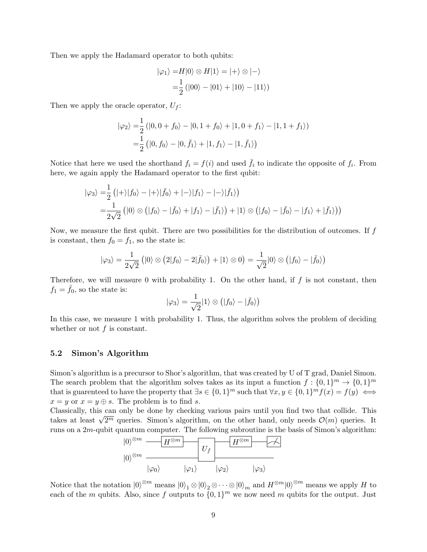Then we apply the Hadamard operator to both qubits:

$$
|\varphi_1\rangle = H|0\rangle \otimes H|1\rangle = |+\rangle \otimes |-\rangle
$$
  
=  $\frac{1}{2} (|00\rangle - |01\rangle + |10\rangle - |11\rangle)$ 

Then we apply the oracle operator,  $U_f$ :

$$
|\varphi_2\rangle = \frac{1}{2} (|0, 0 + f_0\rangle - |0, 1 + f_0\rangle + |1, 0 + f_1\rangle - |1, 1 + f_1\rangle)
$$
  
=  $\frac{1}{2} (|0, f_0\rangle - |0, \bar{f}_1\rangle + |1, f_1\rangle - |1, \bar{f}_1\rangle)$ 

Notice that here we used the shorthand  $f_i = f(i)$  and used  $\bar{f}_i$  to indicate the opposite of  $f_i$ . From here, we again apply the Hadamard operator to the first qubit:

$$
|\varphi_3\rangle = \frac{1}{2} (|+\rangle |f_0\rangle - |+\rangle |\bar{f}_0\rangle + |-\rangle |f_1\rangle - |-\rangle |\bar{f}_1\rangle)
$$
  
= 
$$
\frac{1}{2\sqrt{2}} (|0\rangle \otimes (|f_0\rangle - |f_0\rangle + |f_1\rangle - |f_1\rangle) + |1\rangle \otimes (|f_0\rangle - |f_0\rangle - |f_1\rangle + |f_1\rangle))
$$

Now, we measure the first qubit. There are two possibilities for the distribution of outcomes. If  $f$ is constant, then  $f_0 = f_1$ , so the state is:

$$
|\varphi_3\rangle = \frac{1}{2\sqrt{2}} (|0\rangle \otimes (2|f_0\rangle - 2|\bar{f}_0\rangle) + |1\rangle \otimes 0) = \frac{1}{\sqrt{2}}|0\rangle \otimes (|f_0\rangle - |\bar{f}_0\rangle)
$$

Therefore, we will measure 0 with probability 1. On the other hand, if  $f$  is not constant, then  $f_1 = f_0$ , so the state is:

$$
|\varphi_3\rangle = \frac{1}{\sqrt{2}}|1\rangle \otimes (|f_0\rangle - |\bar{f}_0\rangle)
$$

In this case, we measure 1 with probability 1. Thus, the algorithm solves the problem of deciding whether or not  $f$  is constant.

### 5.2 Simon's Algorithm

Simon's algorithm is a precursor to Shor's algorithm, that was created by U of T grad, Daniel Simon. The search problem that the algorithm solves takes as its input a function  $f: \{0,1\}^m \to \{0,1\}^m$ that is guarenteed to have the property that  $\exists s \in \{0,1\}^m$  such that  $\forall x, y \in \{0,1\}^m f(x) = f(y) \iff$  $x = y$  or  $x = y \oplus s$ . The problem is to find s.

Classically, this can only be done by checking various pairs until you find two that collide. This Classically, this can only be done by checking various pairs until you find two that collide. This takes at least  $\sqrt{2^m}$  queries. Simon's algorithm, on the other hand, only needs  $\mathcal{O}(m)$  queries. It runs on a  $2m$ -qubit quantum computer. The following subroutine is the basis of Simon's algorithm:



Notice that the notation  $|0\rangle^{\otimes m}$  means  $|0\rangle_1 \otimes |0\rangle_2 \otimes \cdots \otimes |0\rangle_m$  and  $H^{\otimes m}|0\rangle^{\otimes m}$  means we apply H to each of the m qubits. Also, since f outputs to  $\{0,1\}^m$  we now need m qubits for the output. Just